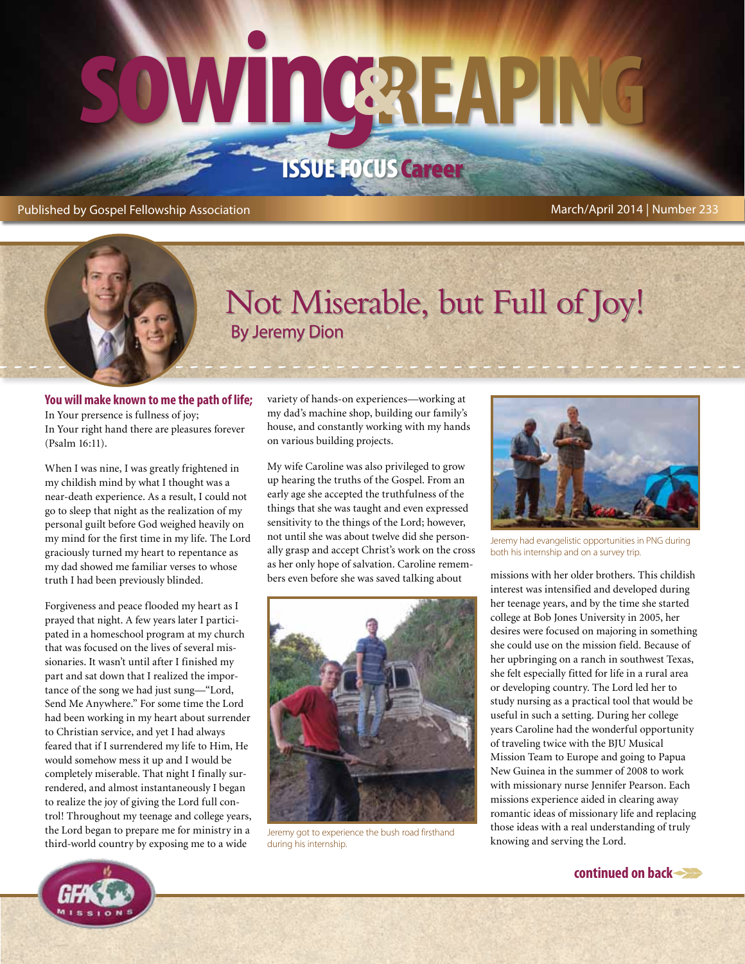# **sowing&reaping** Issue Focus Career

#### Published by Gospel Fellowship Association March/April 2014 | Number 233

## By Jeremy Dion Not Miserable, but Full of Joy!

#### **You will make known to me the path of life;** In Your prersence is fullness of joy; In Your right hand there are pleasures forever (Psalm 16:11).

When I was nine, I was greatly frightened in my childish mind by what I thought was a near-death experience. As a result, I could not go to sleep that night as the realization of my personal guilt before God weighed heavily on my mind for the first time in my life. The Lord graciously turned my heart to repentance as my dad showed me familiar verses to whose truth I had been previously blinded.

Forgiveness and peace flooded my heart as I prayed that night. A few years later I participated in a homeschool program at my church that was focused on the lives of several missionaries. It wasn't until after I finished my part and sat down that I realized the importance of the song we had just sung—"Lord, Send Me Anywhere." For some time the Lord had been working in my heart about surrender to Christian service, and yet I had always feared that if I surrendered my life to Him, He would somehow mess it up and I would be completely miserable. That night I finally surrendered, and almost instantaneously I began to realize the joy of giving the Lord full control! Throughout my teenage and college years, the Lord began to prepare me for ministry in a third-world country by exposing me to a wide

variety of hands-on experiences—working at my dad's machine shop, building our family's house, and constantly working with my hands on various building projects.

My wife Caroline was also privileged to grow up hearing the truths of the Gospel. From an early age she accepted the truthfulness of the things that she was taught and even expressed sensitivity to the things of the Lord; however, not until she was about twelve did she personally grasp and accept Christ's work on the cross as her only hope of salvation. Caroline remembers even before she was saved talking about missions with her older brothers. This childish



Jeremy got to experience the bush road firsthand during his internship.



Jeremy had evangelistic opportunities in PNG during both his internship and on a survey trip.

interest was intensified and developed during her teenage years, and by the time she started college at Bob Jones University in 2005, her desires were focused on majoring in something she could use on the mission field. Because of her upbringing on a ranch in southwest Texas, she felt especially fitted for life in a rural area or developing country. The Lord led her to study nursing as a practical tool that would be useful in such a setting. During her college years Caroline had the wonderful opportunity of traveling twice with the BJU Musical Mission Team to Europe and going to Papua New Guinea in the summer of 2008 to work with missionary nurse Jennifer Pearson. Each missions experience aided in clearing away romantic ideas of missionary life and replacing those ideas with a real understanding of truly knowing and serving the Lord.



**continued on back**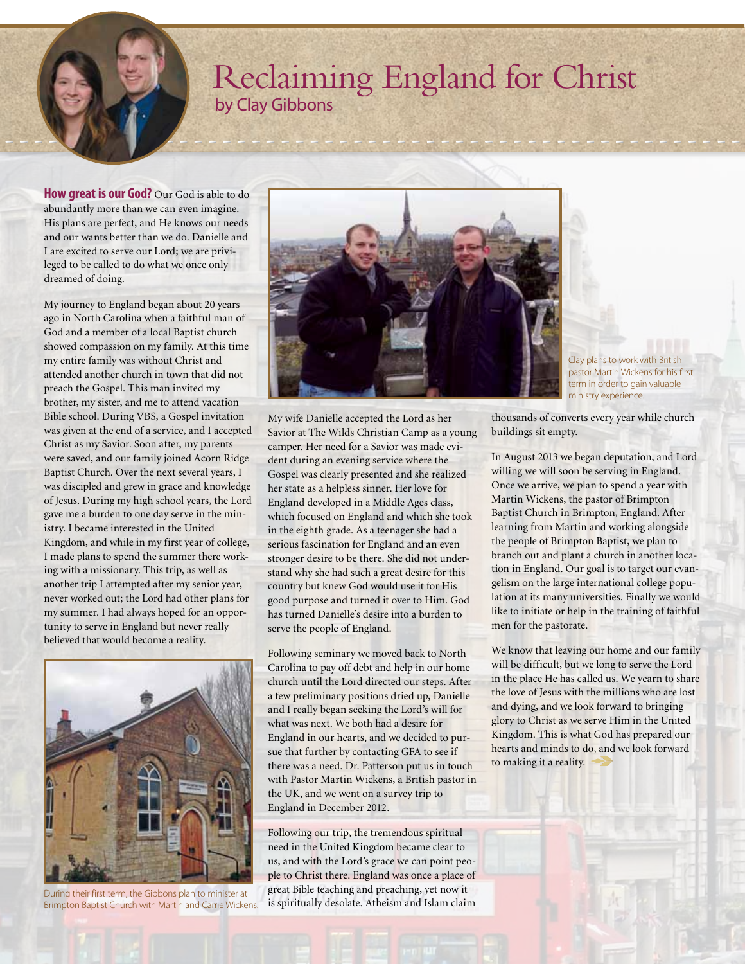### Reclaiming England for Christ by Clay Gibbons

**How great is our God?** Our God is able to do abundantly more than we can even imagine. His plans are perfect, and He knows our needs and our wants better than we do. Danielle and I are excited to serve our Lord; we are privileged to be called to do what we once only dreamed of doing.

My journey to England began about 20 years ago in North Carolina when a faithful man of God and a member of a local Baptist church showed compassion on my family. At this time my entire family was without Christ and attended another church in town that did not preach the Gospel. This man invited my brother, my sister, and me to attend vacation Bible school. During VBS, a Gospel invitation was given at the end of a service, and I accepted Christ as my Savior. Soon after, my parents were saved, and our family joined Acorn Ridge Baptist Church. Over the next several years, I was discipled and grew in grace and knowledge of Jesus. During my high school years, the Lord gave me a burden to one day serve in the ministry. I became interested in the United Kingdom, and while in my first year of college, I made plans to spend the summer there working with a missionary. This trip, as well as another trip I attempted after my senior year, never worked out; the Lord had other plans for my summer. I had always hoped for an opportunity to serve in England but never really believed that would become a reality.



During their first term, the Gibbons plan to minister at Brimpton Baptist Church with Martin and Carrie Wickens.



Clay plans to work with British pastor Martin Wickens for his first term in order to gain valuable ministry experience.

My wife Danielle accepted the Lord as her Savior at The Wilds Christian Camp as a young camper. Her need for a Savior was made evident during an evening service where the Gospel was clearly presented and she realized her state as a helpless sinner. Her love for England developed in a Middle Ages class, which focused on England and which she took in the eighth grade. As a teenager she had a serious fascination for England and an even stronger desire to be there. She did not understand why she had such a great desire for this country but knew God would use it for His good purpose and turned it over to Him. God has turned Danielle's desire into a burden to serve the people of England.

Following seminary we moved back to North Carolina to pay off debt and help in our home church until the Lord directed our steps. After a few preliminary positions dried up, Danielle and I really began seeking the Lord's will for what was next. We both had a desire for England in our hearts, and we decided to pursue that further by contacting GFA to see if there was a need. Dr. Patterson put us in touch with Pastor Martin Wickens, a British pastor in the UK, and we went on a survey trip to England in December 2012.

Following our trip, the tremendous spiritual need in the United Kingdom became clear to us, and with the Lord's grace we can point people to Christ there. England was once a place of great Bible teaching and preaching, yet now it is spiritually desolate. Atheism and Islam claim

thousands of converts every year while church buildings sit empty.

In August 2013 we began deputation, and Lord willing we will soon be serving in England. Once we arrive, we plan to spend a year with Martin Wickens, the pastor of Brimpton Baptist Church in Brimpton, England. After learning from Martin and working alongside the people of Brimpton Baptist, we plan to branch out and plant a church in another location in England. Our goal is to target our evangelism on the large international college population at its many universities. Finally we would like to initiate or help in the training of faithful men for the pastorate.

We know that leaving our home and our family will be difficult, but we long to serve the Lord in the place He has called us. We yearn to share the love of Jesus with the millions who are lost and dying, and we look forward to bringing glory to Christ as we serve Him in the United Kingdom. This is what God has prepared our hearts and minds to do, and we look forward to making it a reality.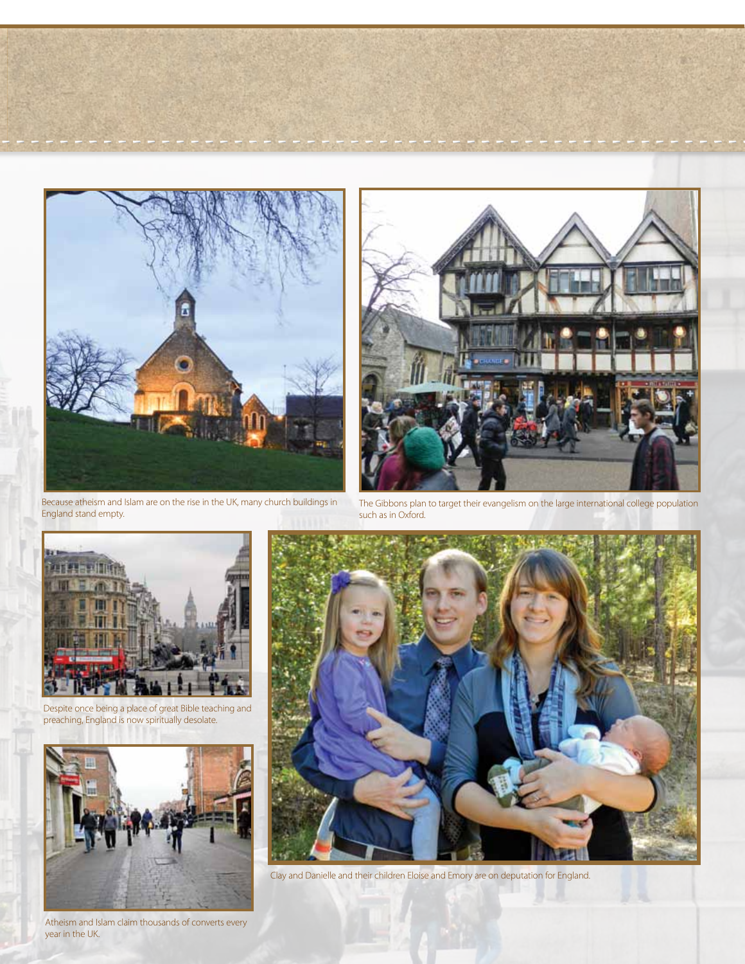

Because atheism and Islam are on the rise in the UK, many church buildings in England stand empty.



The Gibbons plan to target their evangelism on the large international college population such as in Oxford.



Despite once being a place of great Bible teaching and preaching, England is now spiritually desolate.



Atheism and Islam claim thousands of converts every year in the UK.



Clay and Danielle and their children Eloise and Emory are on deputation for England.